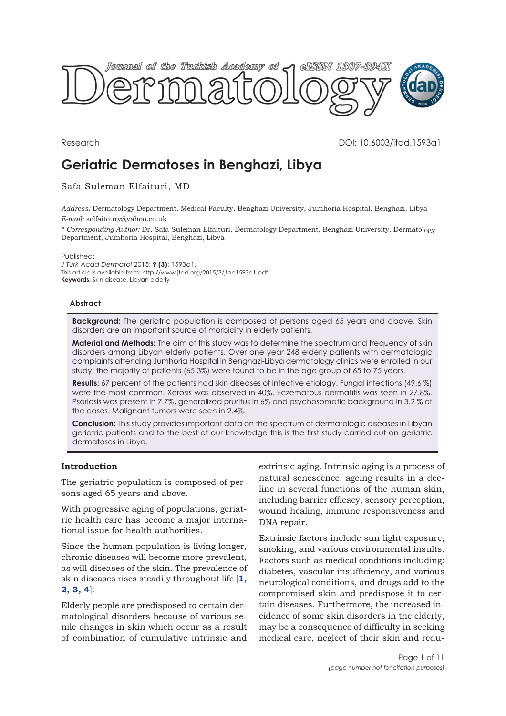

# Research DOI: 10.6003/jtad.1593a1

# **Geriatric Dermatoses in Benghazi, Libya**

#### Safa Suleman Elfaituri, MD

*Address:* Dermatology Department, Medical Faculty, Benghazi University, Jumhoria Hospital, Benghazi, Libya *E-mail:* selfaitoury@yahoo.co.uk

*\* Corresponding Author:* Dr. Safa Suleman Elfaituri, Dermatology Department, Benghazi University, Dermatology Department, Jumhoria Hospital, Benghazi, Libya

Published:

*J Turk Acad Dermatol* 2015; **9 (3)**: 1593a1. This article is available from: http://www.jtad.org/2015/3/jtad1593a1.pdf **Keywords:** Skin disease, Libyan elderly

#### **Abstract**

**Background:** The geriatric population is composed of persons aged 65 years and above. Skin disorders are an important source of morbidity in elderly patients.

**Material and Methods:** The aim of this study was to determine the spectrum and frequency of skin disorders among Libyan elderly patients. Over one year 248 elderly patients with dermatologic complaints attending Jumhoria Hospital in Benghazi-Libya dermatology clinics were enrolled in our study; the majority of patients (65.3%) were found to be in the age group of 65 to 75 years.

**Results:** 67 percent of the patients had skin diseases of infective etiology. Fungal infections (49.6 %) were the most common. Xerosis was observed in 40%. Eczematous dermatitis was seen in 27.8%. Psoriasis was present in 7.7%, generalized pruritus in 6% and psychosomatic background in 3.2 % of the cases. Malignant tumors were seen in 2.4%.

**Conclusion:** This study provides important data on the spectrum of dermatologic diseases in Libyan geriatric patients and to the best of our knowledge this is the first study carried out on geriatric dermatoses in Libya.

### **Introduction**

The geriatric population is composed of persons aged 65 years and above.

With progressive aging of populations, geriatric health care has become a major international issue for health authorities.

Since the human population is living longer, chronic diseases will become more prevalent, as will diseases of the skin. The prevalence of skin diseases rises steadily throughout life [**[1,](#page-9-0) [2, 3,](#page-9-0) [4](#page-9-0)**].

Elderly people are predisposed to certain dermatological disorders because of various senile changes in skin which occur as a result of combination of cumulative intrinsic and

extrinsic aging. Intrinsic aging is a process of natural senescence; ageing results in a decline in several functions of the human skin, including barrier efficacy, sensory perception, wound healing, immune responsiveness and DNA repair.

Extrinsic factors include sun light exposure, smoking, and various environmental insults. Factors such as medical conditions including: diabetes, vascular insufficiency, and various neurological conditions, and drugs add to the compromised skin and predispose it to certain diseases. Furthermore, the increased incidence of some skin disorders in the elderly, may be a consequence of difficulty in seeking medical care, neglect of their skin and redu-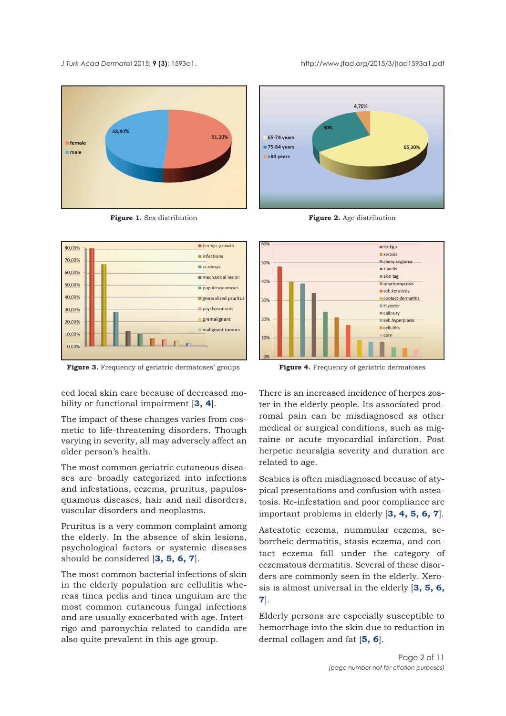<span id="page-1-0"></span>





**Figure 3.** Frequency of geriatric dermatoses' groups **Figure 4.** Frequency of geriatric dermatoses

ced local skin care because of decreased mobility or functional impairment [**[3, 4](#page-9-0)**].

The impact of these changes varies from cosmetic to life-threatening disorders. Though varying in severity, all may adversely affect an older person's health.

The most common geriatric cutaneous diseases are broadly categorized into infections and infestations, eczema, pruritus, papulosquamous diseases, hair and nail disorders, vascular disorders and neoplasms.

Pruritus is a very common complaint among the elderly. In the absence of skin lesions, psychological factors or systemic diseases should be considered [**[3,](#page-9-0) [5, 6, 7](#page-9-0)**].

The most common bacterial infections of skin in the elderly population are cellulitis whereas tinea pedis and tinea unguium are the most common cutaneous fungal infections and are usually exacerbated with age. Intertrigo and paronychia related to candida are also quite prevalent in this age group.



**Figure 1.** Sex distribution **Figure 2.** Age distribution



There is an increased incidence of herpes zoster in the elderly people. Its associated prodromal pain can be misdiagnosed as other medical or surgical conditions, such as migraine or acute myocardial infarction. Post herpetic neuralgia severity and duration are related to age.

Scabies is often misdiagnosed because of atypical presentations and confusion with asteatosis. Re-infestation and poor compliance are important problems in elderly [**[3,](#page-9-0) [4, 5,](#page-9-0) [6, 7](#page-9-0)**].

Asteatotic eczema, nummular eczema, seborrheic dermatitis, stasis eczema, and contact eczema fall under the category of eczematous dermatitis. Several of these disorders are commonly seen in the elderly. Xerosis is almost universal in the elderly [**[3, 5, 6,](#page-9-0) [7](#page-9-0)**].

Elderly persons are especially susceptible to hemorrhage into the skin due to reduction in dermal collagen and fat [**[5, 6](#page-9-0)**].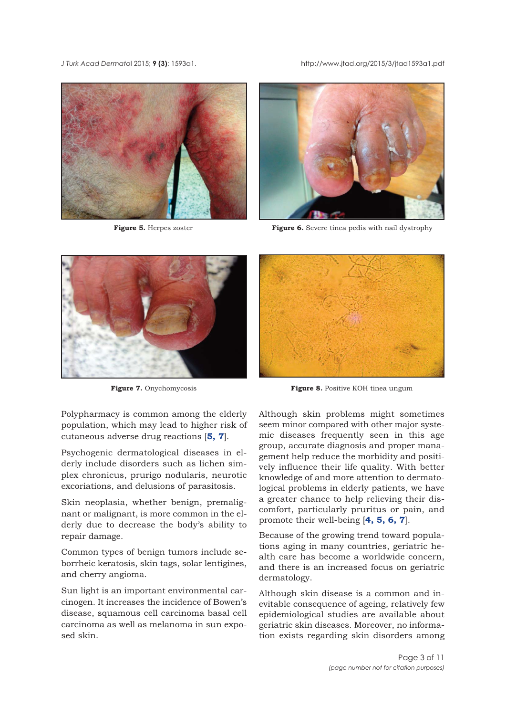<span id="page-2-0"></span>





**Figure 5.** Herpes zoster **Figure 6.** Severe tinea pedis with nail dystrophy



Polypharmacy is common among the elderly population, which may lead to higher risk of cutaneous adverse drug reactions [**[5, 7](#page-9-0)**].

Psychogenic dermatological diseases in elderly include disorders such as lichen simplex chronicus, prurigo nodularis, neurotic excoriations, and delusions of parasitosis.

Skin neoplasia, whether benign, premalignant or malignant, is more common in the elderly due to decrease the body's ability to repair damage.

Common types of benign tumors include seborrheic keratosis, skin tags, solar lentigines, and cherry angioma.

Sun light is an important environmental carcinogen. It increases the incidence of Bowen's disease, squamous cell carcinoma basal cell carcinoma as well as melanoma in sun exposed skin.



**Figure 7.** Onychomycosis **Figure 8.** Positive KOH tinea ungum

Although skin problems might sometimes seem minor compared with other major systemic diseases frequently seen in this age group, accurate diagnosis and proper management help reduce the morbidity and positively influence their life quality. With better knowledge of and more attention to dermatological problems in elderly patients, we have a greater chance to help relieving their discomfort, particularly pruritus or pain, and promote their well-being [**[4, 5,](#page-9-0) [6, 7](#page-9-0)**].

Because of the growing trend toward populations aging in many countries, geriatric health care has become a worldwide concern, and there is an increased focus on geriatric dermatology.

Although skin disease is a common and inevitable consequence of ageing, relatively few epidemiological studies are available about geriatric skin diseases. Moreover, no information exists regarding skin disorders among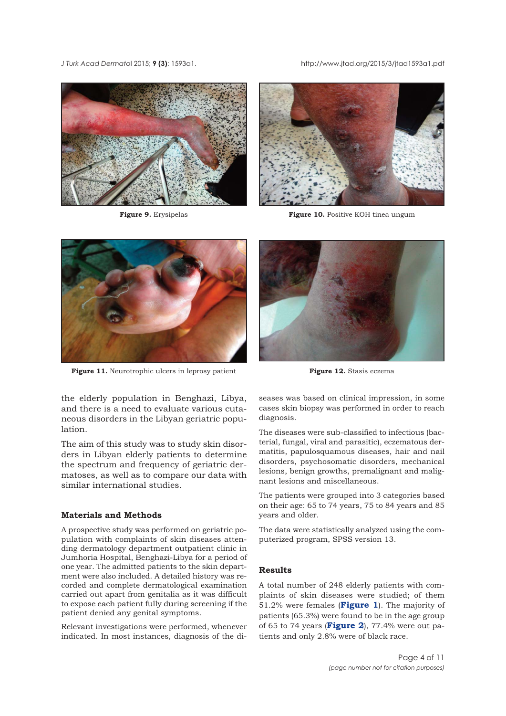<span id="page-3-0"></span>





**Figure 9.** Erysipelas **Figure 10.** Positive KOH tinea ungum



**Figure 11.** Neurotrophic ulcers in leprosy patient **Figure 12.** Stasis eczema

the elderly population in Benghazi, Libya, and there is a need to evaluate various cutaneous disorders in the Libyan geriatric population.

The aim of this study was to study skin disorders in Libyan elderly patients to determine the spectrum and frequency of geriatric dermatoses, as well as to compare our data with similar international studies.

#### **Materials and Methods**

A prospective study was performed on geriatric population with complaints of skin diseases attending dermatology department outpatient clinic in Jumhoria Hospital, Benghazi-Libya for a period of one year. The admitted patients to the skin department were also included. A detailed history was recorded and complete dermatological examination carried out apart from genitalia as it was difficult to expose each patient fully during screening if the patient denied any genital symptoms.

Relevant investigations were performed, whenever indicated. In most instances, diagnosis of the di-



seases was based on clinical impression, in some cases skin biopsy was performed in order to reach diagnosis.

The diseases were sub-classified to infectious (bacterial, fungal, viral and parasitic), eczematous dermatitis, papulosquamous diseases, hair and nail disorders, psychosomatic disorders, mechanical lesions, benign growths, premalignant and malignant lesions and miscellaneous.

The patients were grouped into 3 categories based on their age: 65 to 74 years, 75 to 84 years and 85 years and older.

The data were statistically analyzed using the computerized program, SPSS version 13.

#### **Results**

A total number of 248 elderly patients with complaints of skin diseases were studied; of them 51.2% were females (**[Figure 1](#page-1-0)**). The majority of patients (65.3%) were found to be in the age group of 65 to 74 years (**[Figure 2](#page-1-0)**), 77.4% were out patients and only 2.8% were of black race.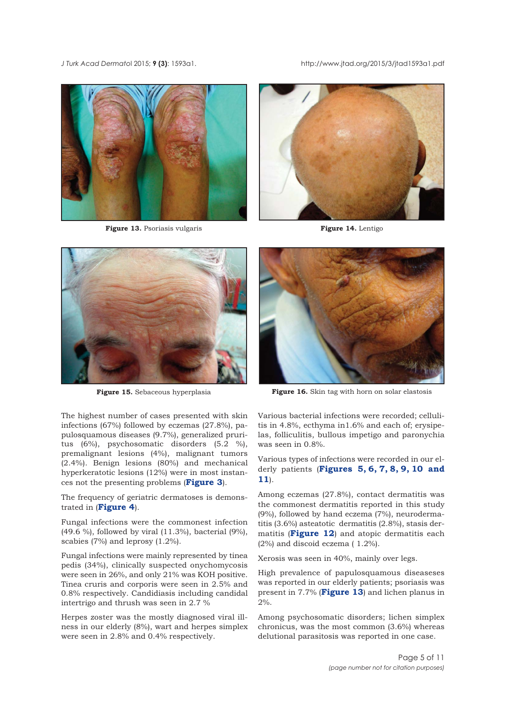<span id="page-4-0"></span>



**Figure 13.** Psoriasis vulgaris **Figure 14.** Lentigo





The highest number of cases presented with skin infections (67%) followed by eczemas (27.8%), papulosquamous diseases (9.7%), generalized pruritus (6%), psychosomatic disorders (5.2 %), premalignant lesions (4%), malignant tumors (2.4%). Benign lesions (80%) and mechanical hyperkeratotic lesions (12%) were in most instances not the presenting problems (**[Figure 3](#page-1-0)**).

The frequency of geriatric dermatoses is demonstrated in (**[Figure 4](#page-1-0)**).

Fungal infections were the commonest infection (49.6 %), followed by viral (11.3%), bacterial (9%), scabies (7%) and leprosy (1.2%).

Fungal infections were mainly represented by tinea pedis (34%), clinically suspected onychomycosis were seen in 26%, and only 21% was KOH positive. Tinea cruris and corporis were seen in 2.5% and 0.8% respectively. Candidiasis including candidal intertrigo and thrush was seen in 2.7 %

Herpes zoster was the mostly diagnosed viral illness in our elderly (8%), wart and herpes simplex were seen in 2.8% and 0.4% respectively.



**Figure 15.** Sebaceous hyperplasia **Figure 16.** Skin tag with horn on solar elastosis

Various bacterial infections were recorded; cellulitis in 4.8%, ecthyma in1.6% and each of; erysipelas, folliculitis, bullous impetigo and paronychia was seen in 0.8%.

Various types of infections were recorded in our elderly patients (**[Figures 5, 6, 7, 8,](#page-2-0) [9, 10](#page-9-0) and [11](#page-3-0)**).

Among eczemas (27.8%), contact dermatitis was the commonest dermatitis reported in this study (9%), followed by hand eczema (7%), neurodermatitis (3.6%) asteatotic dermatitis (2.8%), stasis dermatitis (**[Figure 12](#page-3-0)**) and atopic dermatitis each (2%) and discoid eczema ( 1.2%).

Xerosis was seen in 40%, mainly over legs.

High prevalence of papulosquamous diseaseses was reported in our elderly patients; psoriasis was present in 7.7% (**Figure 13**) and lichen planus in  $2\%$ .

Among psychosomatic disorders; lichen simplex chronicus, was the most common (3.6%) whereas delutional parasitosis was reported in one case.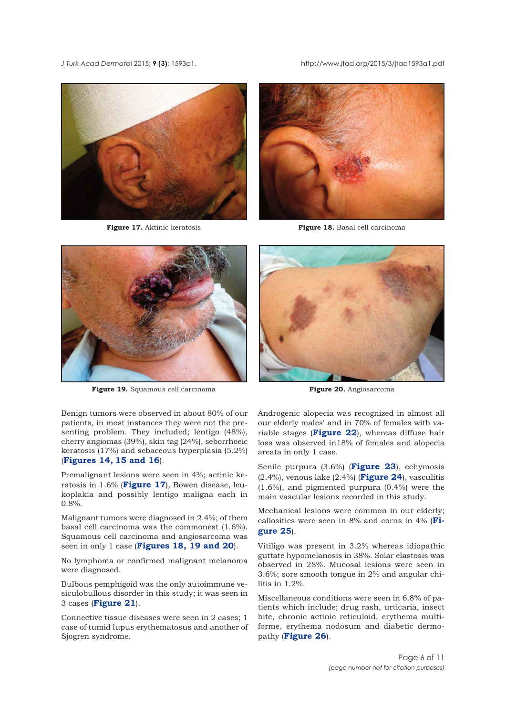



**Figure 17.** Aktinic keratosis **Figure 18.** Basal cell carcinoma



**Figure 19.** Squamous cell carcinoma **Figure 20.** Angiosarcoma



Benign tumors were observed in about 80% of our patients, in most instances they were not the presenting problem. They included; lentigo (48%), cherry angiomas (39%), skin tag (24%), seborrhoeic keratosis (17%) and sebaceous hyperplasia (5.2%) (**[Figures 14, 15](#page-4-0) and [16](#page-4-0)**).

Premalignant lesions were seen in 4%; actinic keratosis in 1.6% (**Figure 17**), Bowen disease, leukoplakia and possibly lentigo maligna each in 0.8%.

Malignant tumors were diagnosed in 2.4%; of them basal cell carcinoma was the commonest (1.6%). Squamous cell carcinoma and angiosarcoma was seen in only 1 case (**Figures 18, 19 and 20**).

No lymphoma or confirmed malignant melanoma were diagnosed.

Bulbous pemphigoid was the only autoimmune vesiculobullous disorder in this study; it was seen in 3 cases (**[Figure 21](#page-6-0)**).

Connective tissue diseases were seen in 2 cases; 1 case of tumid lupus erythematosus and another of Sjogren syndrome.

Androgenic alopecia was recognized in almost all our elderly males' and in 70% of females with variable stages (**[Figure 22](#page-6-0)**), whereas diffuse hair loss was observed in18% of females and alopecia areata in only 1 case.

Senile purpura (3.6%) (**[Figure 23](#page-6-0)**), echymosis (2.4%), venous lake (2.4%) (**[Figure 24](#page-6-0)**), vasculitis (1.6%), and pigmented purpura (0.4%) were the main vascular lesions recorded in this study.

Mechanical lesions were common in our elderly; [callosities were seen in 8% and corns in 4% \(](#page-7-0)**Figure 25**).

Vitiligo was present in 3.2% whereas idiopathic guttate hypomelanosis in 38%. Solar elastosis was observed in 28%. Mucosal lesions were seen in 3.6%; sore smooth tongue in 2% and angular chilitis in 1.2%.

Miscellaneous conditions were seen in 6.8% of patients which include; drug rash, urticaria, insect bite, chronic actinic reticuloid, erythema multiforme, erythema nodosum and diabetic dermopathy (**[Figure 26](#page-7-0)**).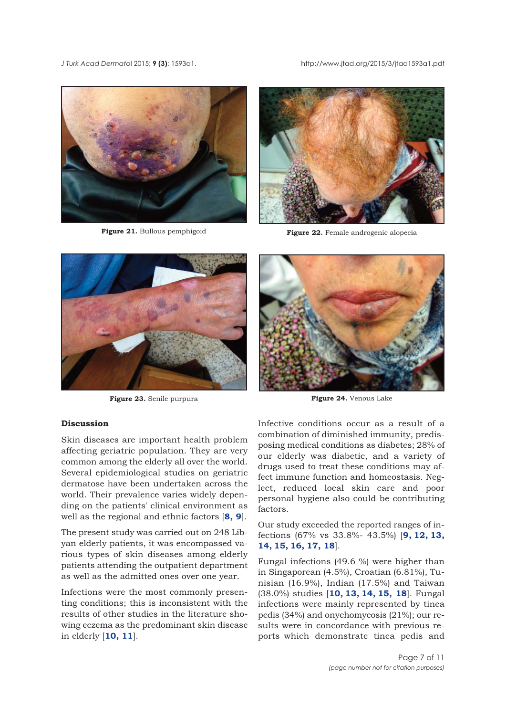<span id="page-6-0"></span>





**Figure 21.** Bullous pemphigoid **Figure 22.** Female androgenic alopecia



**Figure 23.** Senile purpura **Figure 24.** Venous Lake

## **Discussion**

Skin diseases are important health problem affecting geriatric population. They are very common among the elderly all over the world. Several epidemiological studies on geriatric dermatose have been undertaken across the world. Their prevalence varies widely depending on the patients' clinical environment as well as the regional and ethnic factors [**[8,](#page-9-0) [9](#page-9-0)**].

The present study was carried out on 248 Libyan elderly patients, it was encompassed various types of skin diseases among elderly patients attending the outpatient department as well as the admitted ones over one year.

Infections were the most commonly presenting conditions; this is inconsistent with the results of other studies in the literature showing eczema as the predominant skin disease in elderly [**[10, 11](#page-9-0)**].

Infective conditions occur as a result of a combination of diminished immunity, predisposing medical conditions as diabetes; 28% of our elderly was diabetic, and a variety of drugs used to treat these conditions may affect immune function and homeostasis. Neglect, reduced local skin care and poor personal hygiene also could be contributing factors.

Our study exceeded the reported ranges of infections (67% vs 33.8%- 43.5%) [**[9, 12, 13,](#page-9-0) [14, 15, 16, 17, 18](#page-9-0)**].

Fungal infections (49.6 %) were higher than in Singaporean (4.5%), Croatian (6.81%), Tunisian (16.9%), Indian (17.5%) and Taiwan (38.0%) studies [**[10, 13, 14, 15,](#page-9-0) [18](#page-9-0)**]. Fungal infections were mainly represented by tinea pedis (34%) and onychomycosis (21%); our results were in concordance with previous reports which demonstrate tinea pedis and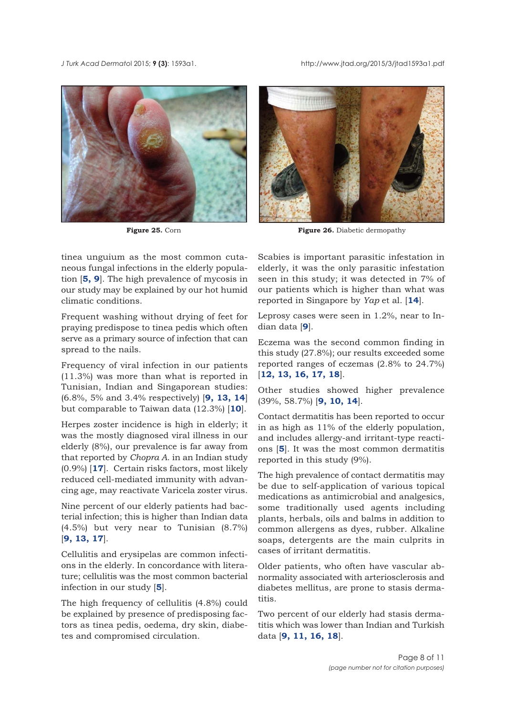<span id="page-7-0"></span>





Figure 25. Corn **Figure 26.** Diabetic dermopathy

tinea unguium as the most common cutaneous fungal infections in the elderly population [**[5,](#page-9-0) [9](#page-9-0)**]. The high prevalence of mycosis in our study may be explained by our hot humid climatic conditions.

Frequent washing without drying of feet for praying predispose to tinea pedis which often serve as a primary source of infection that can spread to the nails.

Frequency of viral infection in our patients (11.3%) was more than what is reported in Tunisian, Indian and Singaporean studies: (6.8%, 5% and 3.4% respectively) [**[9, 13, 14](#page-9-0)**] but comparable to Taiwan data (12.3%) [**[10](#page-9-0)**].

Herpes zoster incidence is high in elderly; it was the mostly diagnosed viral illness in our elderly (8%), our prevalence is far away from that reported by *Chopra A*. in an Indian study (0.9%) [**[17](#page-9-0)**]. Certain risks factors, most likely reduced cell-mediated immunity with advancing age, may reactivate Varicela zoster virus.

Nine percent of our elderly patients had bacterial infection; this is higher than Indian data (4.5%) but very near to Tunisian (8.7%) [**[9, 13, 17](#page-9-0)**].

Cellulitis and erysipelas are common infections in the elderly. In concordance with literature; cellulitis was the most common bacterial infection in our study [**[5](#page-9-0)**].

The high frequency of cellulitis (4.8%) could be explained by presence of predisposing factors as tinea pedis, oedema, dry skin, diabetes and compromised circulation.

Scabies is important parasitic infestation in elderly, it was the only parasitic infestation seen in this study; it was detected in 7% of our patients which is higher than what was reported in Singapore by *Yap* et al. [**[14](#page-9-0)**].

Leprosy cases were seen in 1.2%, near to Indian data [**[9](#page-9-0)**].

Eczema was the second common finding in this study (27.8%); our results exceeded some reported ranges of eczemas (2.8% to 24.7%) [**[12, 13,](#page-9-0) [16, 17,](#page-9-0) [18](#page-10-0)**].

Other studies showed higher prevalence (39%, 58.7%) [**[9,](#page-9-0) [10, 14](#page-9-0)**].

Contact dermatitis has been reported to occur in as high as 11% of the elderly population, and includes allergy-and irritant-type reactions [**[5](#page-9-0)**]. It was the most common dermatitis reported in this study (9%).

The high prevalence of contact dermatitis may be due to self-application of various topical medications as antimicrobial and analgesics, some traditionally used agents including plants, herbals, oils and balms in addition to common allergens as dyes, rubber. Alkaline soaps, detergents are the main culprits in cases of irritant dermatitis.

Older patients, who often have vascular abnormality associated with arteriosclerosis and diabetes mellitus, are prone to stasis dermatitis.

Two percent of our elderly had stasis dermatitis which was lower than Indian and Turkish data [**[9,](#page-9-0) [11, 16,](#page-9-0) [18](#page-9-0)**].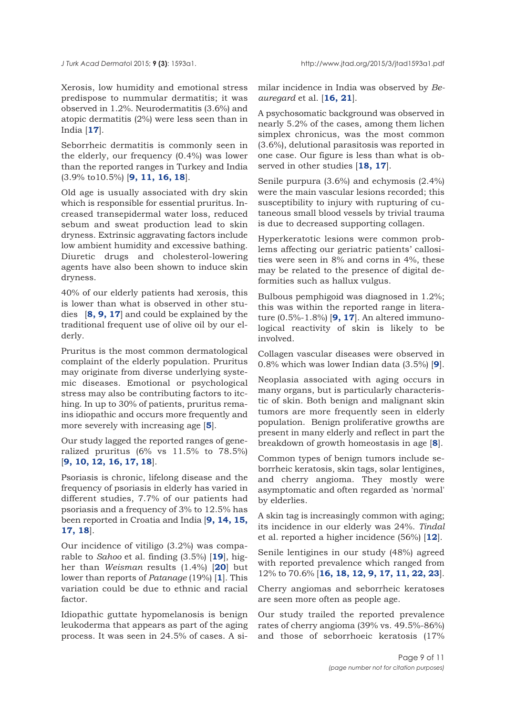Xerosis, low humidity and emotional stress predispose to nummular dermatitis; it was observed in 1.2%. Neurodermatitis (3.6%) and atopic dermatitis (2%) were less seen than in India [**[17](#page-9-0)**].

Seborrheic dermatitis is commonly seen in the elderly, our frequency (0.4%) was lower than the reported ranges in Turkey and India (3.9% to10.5%) [**[9,](#page-9-0) [11, 16, 18](#page-9-0)**].

Old age is usually associated with dry skin which is responsible for essential pruritus. Increased transepidermal water loss, reduced sebum and sweat production lead to skin dryness. Extrinsic aggravating factors include low ambient humidity and excessive bathing. Diuretic drugs and cholesterol-lowering agents have also been shown to induce skin dryness.

40% of our elderly patients had xerosis, this is lower than what is observed in other studies [**[8, 9, 17](#page-9-0)**] and could be explained by the traditional frequent use of olive oil by our elderly.

Pruritus is the most common dermatological complaint of the elderly population. Pruritus may originate from diverse underlying systemic diseases. Emotional or psychological stress may also be contributing factors to itching. In up to 30% of patients, pruritus remains idiopathic and occurs more frequently and more severely with increasing age [**[5](#page-9-0)**].

Our study lagged the reported ranges of generalized pruritus (6% vs 11.5% to 78.5%) [**[9, 10, 12, 16, 17, 18](#page-9-0)**].

Psoriasis is chronic, lifelong disease and the frequency of psoriasis in elderly has varied in different studies, 7.7% of our patients had psoriasis and a frequency of 3% to 12.5% has been reported in Croatia and India [**[9, 14, 15,](#page-9-0) [17, 18](#page-9-0)**].

Our incidence of vitiligo (3.2%) was comparable to *Sahoo* et al. finding (3.5%) [**[19](#page-10-0)**], higher than *Weisman* results (1.4%) [**[20](#page-10-0)**] but lower than reports of *Patanage* (19%) [**[1](#page-9-0)**]. This variation could be due to ethnic and racial factor.

Idiopathic guttate hypomelanosis is benign leukoderma that appears as part of the aging process. It was seen in 24.5% of cases. A similar incidence in India was observed by *Beauregard* et al. [**[16, 21](#page-9-0)**].

A psychosomatic background was observed in nearly 5.2% of the cases, among them lichen simplex chronicus, was the most common (3.6%), delutional parasitosis was reported in one case. Our figure is less than what is observed in other studies [**[18,](#page-10-0) [17](#page-9-0)**].

Senile purpura (3.6%) and echymosis (2.4%) were the main vascular lesions recorded; this susceptibility to injury with rupturing of cutaneous small blood vessels by trivial trauma is due to decreased supporting collagen.

Hyperkeratotic lesions were common problems affecting our geriatric patients' callosities were seen in 8% and corns in 4%, these may be related to the presence of digital deformities such as hallux vulgus.

Bulbous pemphigoid was diagnosed in 1.2%; this was within the reported range in literature (0.5%-1.8%) [**[9, 17](#page-9-0)**]. An altered immunological reactivity of skin is likely to be involved.

Collagen vascular diseases were observed in 0.8% which was lower Indian data (3.5%) [**[9](#page-9-0)**].

Neoplasia associated with aging occurs in many organs, but is particularly characteristic of skin. Both benign and malignant skin tumors are more frequently seen in elderly population. Benign proliferative growths are present in many elderly and reflect in part the breakdown of growth homeostasis in age [**[8](#page-9-0)**].

Common types of benign tumors include seborrheic keratosis, skin tags, solar lentigines, and cherry angioma. They mostly were asymptomatic and often regarded as 'normal' by elderlies.

A skin tag is increasingly common with aging; its incidence in our elderly was 24%. *Tindal* et al. reported a higher incidence (56%) [**[12](#page-9-0)**].

Senile lentigines in our study (48%) agreed with reported prevalence which ranged from 12% to 70.6% [**[16, 18, 12, 9, 17, 11,](#page-9-0) [22, 23](#page-10-0)**].

Cherry angiomas and seborrheic keratoses are seen more often as people age.

Our study trailed the reported prevalence rates of cherry angioma (39% vs. 49.5%-86%) and those of seborrhoeic keratosis (17%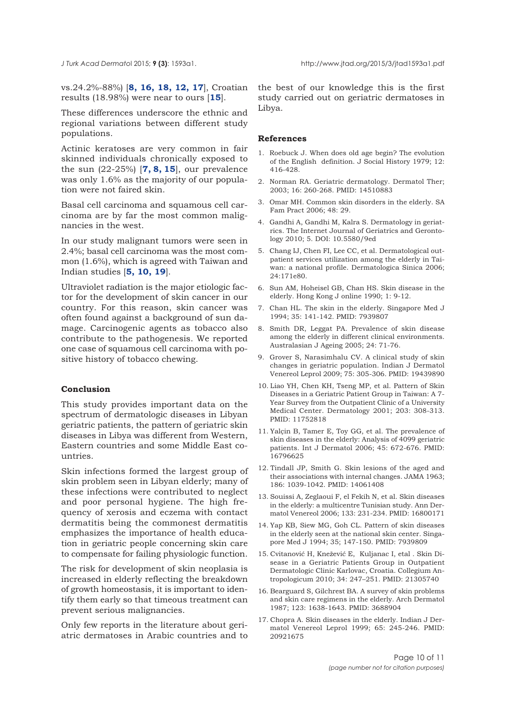<span id="page-9-0"></span>

vs.24.2%-88%) [**8, 16, 18, 12, 17**], Croatian results (18.98%) were near to ours [**15**].

These differences underscore the ethnic and regional variations between different study populations.

Actinic keratoses are very common in fair skinned individuals chronically exposed to the sun (22-25%) [**7, 8, 15**], our prevalence was only 1.6% as the majority of our population were not faired skin.

Basal cell carcinoma and squamous cell carcinoma are by far the most common malignancies in the west.

In our study malignant tumors were seen in 2.4%; basal cell carcinoma was the most common (1.6%), which is agreed with Taiwan and Indian studies [**5, 10, 19**].

Ultraviolet radiation is the major etiologic factor for the development of skin cancer in our country. For this reason, skin cancer was often found against a background of sun damage. Carcinogenic agents as tobacco also contribute to the pathogenesis. We reported one case of squamous cell carcinoma with positive history of tobacco chewing.

#### **Conclusion**

This study provides important data on the spectrum of dermatologic diseases in Libyan geriatric patients, the pattern of geriatric skin diseases in Libya was different from Western, Eastern countries and some Middle East countries.

Skin infections formed the largest group of skin problem seen in Libyan elderly; many of these infections were contributed to neglect and poor personal hygiene. The high frequency of xerosis and eczema with contact dermatitis being the commonest dermatitis emphasizes the importance of health education in geriatric people concerning skin care to compensate for failing physiologic function.

The risk for development of skin neoplasia is increased in elderly reflecting the breakdown of growth homeostasis, it is important to identify them early so that timeous treatment can prevent serious malignancies.

Only few reports in the literature about geriatric dermatoses in Arabic countries and to

the best of our knowledge this is the first study carried out on geriatric dermatoses in Libya.

#### **References**

- 1. Roebuck J. When does old age begin? The evolution of the English definition. J Social History 1979; 12: 416-428.
- 2. Norman RA. Geriatric dermatology. Dermatol Ther; 2003; 16: 260-268. PMID: 14510883
- 3. Omar MH. Common skin disorders in the elderly. SA Fam Pract 2006; 48: 29.
- 4. Gandhi A, Gandhi M, Kalra S. Dermatology in geriatrics. The Internet Journal of Geriatrics and Gerontology 2010; 5. DOI: 10.5580/9ed
- 5. Chang IJ, Chen FI, Lee CC, et al. Dermatological outpatient services utilization among the elderly in Taiwan: a national profile. Dermatologica Sinica 2006; 24:171e80.
- 6. Sun AM, Hoheisel GB, Chan HS. Skin disease in the elderly. Hong Kong J online 1990; 1: 9-12.
- 7. Chan HL. The skin in the elderly. Singapore Med J 1994; 35: 141-142. PMID: 7939807
- 8. Smith DR, Leggat PA. Prevalence of skin disease among the elderly in different clinical environments. Australasian J Ageing 2005; 24: 71-76.
- 9. Grover S, Narasimhalu CV. A clinical study of skin changes in geriatric population. Indian J Dermatol Venereol Leprol 2009; 75: 305-306. PMID: 19439890
- 10. Liao YH, Chen KH, Tseng MP, et al. Pattern of Skin Diseases in a Geriatric Patient Group in Taiwan: A 7- Year Survey from the Outpatient Clinic of a University Medical Center. Dermatology 2001; 203: 308-313. PMID: 11752818
- 11. Yalçin B, Tamer E, Toy GG, et al. The prevalence of skin diseases in the elderly: Analysis of 4099 geriatric patients. Int J Dermatol 2006; 45: 672-676. PMID: 16796625
- 12. Tindall JP, Smith G. Skin lesions of the aged and their associations with internal changes. JAMA 1963; 186: 1039-1042. PMID: 14061408
- 13. Souissi A, Zeglaoui F, el Fekih N, et al. Skin diseases in the elderly: a multicentre Tunisian study. Ann Dermatol Venereol 2006; 133: 231-234. PMID: 16800171
- 14. Yap KB, Siew MG, Goh CL. Pattern of skin diseases in the elderly seen at the national skin center. Singapore Med J 1994; 35; 147-150. PMID: 7939809
- 15. Cvitanović H, Knežević E, Kuljanac I, etal . Skin Disease in a Geriatric Patients Group in Outpatient Dermatologic Clinic Karlovac, Croatia. Collegium Antropologicum 2010; 34: 247–251. PMID: 21305740
- 16. Bearguard S, Gilchrest BA. A survey of skin problems and skin care regimens in the elderly. Arch Dermatol 1987; 123: 1638-1643. PMID: 3688904
- 17. Chopra A. Skin diseases in the elderly. Indian J Dermatol Venereol Leprol 1999; 65: 245-246. PMID: 20921675